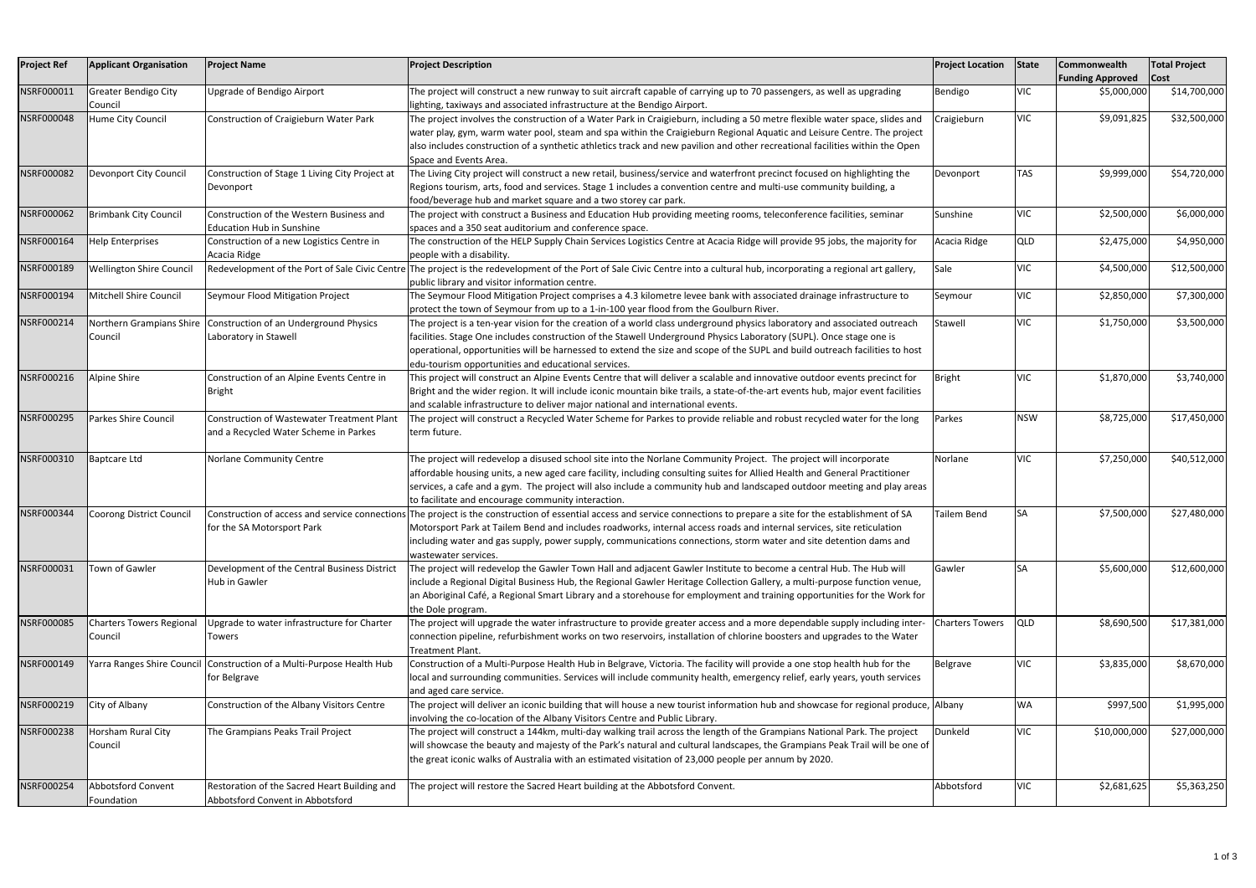| <b>Project Ref</b> | <b>Applicant Organisation</b>              | <b>Project Name</b>                                                                        | <b>Project Description</b>                                                                                                                                                                                                                                                                                                                                                                                                                     | <b>Project Location</b> | State      | <b>Commonwealth</b><br><b>Funding Approved</b> | <b>Total Project</b><br>$\vert$ Cost |
|--------------------|--------------------------------------------|--------------------------------------------------------------------------------------------|------------------------------------------------------------------------------------------------------------------------------------------------------------------------------------------------------------------------------------------------------------------------------------------------------------------------------------------------------------------------------------------------------------------------------------------------|-------------------------|------------|------------------------------------------------|--------------------------------------|
| NSRF000011         | <b>Greater Bendigo City</b><br>Council     | Upgrade of Bendigo Airport                                                                 | The project will construct a new runway to suit aircraft capable of carrying up to 70 passengers, as well as upgrading<br>ighting, taxiways and associated infrastructure at the Bendigo Airport.                                                                                                                                                                                                                                              | Bendigo                 | VIC        | \$5,000,000                                    | \$14,700,000                         |
| NSRF000048         | Hume City Council                          | Construction of Craigieburn Water Park                                                     | The project involves the construction of a Water Park in Craigieburn, including a 50 metre flexible water space, slides and<br>water play, gym, warm water pool, steam and spa within the Craigieburn Regional Aquatic and Leisure Centre. The project<br>also includes construction of a synthetic athletics track and new pavilion and other recreational facilities within the Open<br>Space and Events Area.                               | Craigieburn             | <b>VIC</b> | \$9,091,825                                    | \$32,500,000                         |
| NSRF000082         | Devonport City Council                     | Construction of Stage 1 Living City Project at<br>Devonport                                | The Living City project will construct a new retail, business/service and waterfront precinct focused on highlighting the<br>Regions tourism, arts, food and services. Stage 1 includes a convention centre and multi-use community building, a<br>food/beverage hub and market square and a two storey car park.                                                                                                                              | Devonport               | <b>TAS</b> | \$9,999,000                                    | \$54,720,000                         |
| NSRF000062         | <b>Brimbank City Council</b>               | Construction of the Western Business and<br><b>Education Hub in Sunshine</b>               | The project with construct a Business and Education Hub providing meeting rooms, teleconference facilities, seminar<br>spaces and a 350 seat auditorium and conference space.                                                                                                                                                                                                                                                                  | Sunshine                | <b>VIC</b> | \$2,500,000                                    | \$6,000,000                          |
| NSRF000164         | <b>Help Enterprises</b>                    | Construction of a new Logistics Centre in<br>Acacia Ridge                                  | The construction of the HELP Supply Chain Services Logistics Centre at Acacia Ridge will provide 95 jobs, the majority for<br>people with a disability.                                                                                                                                                                                                                                                                                        | Acacia Ridge            | <b>QLD</b> | \$2,475,000                                    | \$4,950,000                          |
| NSRF000189         | <b>Wellington Shire Council</b>            |                                                                                            | Redevelopment of the Port of Sale Civic Centre The project is the redevelopment of the Port of Sale Civic Centre into a cultural hub, incorporating a regional art gallery,<br>public library and visitor information centre.                                                                                                                                                                                                                  | Sale                    | <b>VIC</b> | \$4,500,000                                    | \$12,500,000                         |
| NSRF000194         | Mitchell Shire Council                     | Seymour Flood Mitigation Project                                                           | The Seymour Flood Mitigation Project comprises a 4.3 kilometre levee bank with associated drainage infrastructure to<br>protect the town of Seymour from up to a 1-in-100 year flood from the Goulburn River.                                                                                                                                                                                                                                  | Seymour                 | VIC        | \$2,850,000                                    | \$7,300,000                          |
| NSRF000214         | Northern Grampians Shire<br>Council        | Construction of an Underground Physics<br>Laboratory in Stawell                            | The project is a ten-year vision for the creation of a world class underground physics laboratory and associated outreach<br>facilities. Stage One includes construction of the Stawell Underground Physics Laboratory (SUPL). Once stage one is<br>operational, opportunities will be harnessed to extend the size and scope of the SUPL and build outreach facilities to host<br>edu-tourism opportunities and educational services.         | Stawell                 | <b>VIC</b> | \$1,750,000                                    | \$3,500,000                          |
| NSRF000216         | Alpine Shire                               | Construction of an Alpine Events Centre in<br><b>Bright</b>                                | This project will construct an Alpine Events Centre that will deliver a scalable and innovative outdoor events precinct for<br>Bright and the wider region. It will include iconic mountain bike trails, a state-of-the-art events hub, major event facilities<br>and scalable infrastructure to deliver major national and international events.                                                                                              | <b>Bright</b>           | <b>VIC</b> | \$1,870,000                                    | \$3,740,000                          |
| NSRF000295         | Parkes Shire Council                       | <b>Construction of Wastewater Treatment Plant</b><br>and a Recycled Water Scheme in Parkes | The project will construct a Recycled Water Scheme for Parkes to provide reliable and robust recycled water for the long<br>term future.                                                                                                                                                                                                                                                                                                       | Parkes                  | <b>NSW</b> | \$8,725,000                                    | \$17,450,000                         |
| NSRF000310         | <b>Baptcare Ltd</b>                        | Norlane Community Centre                                                                   | The project will redevelop a disused school site into the Norlane Community Project. The project will incorporate<br>affordable housing units, a new aged care facility, including consulting suites for Allied Health and General Practitioner<br>services, a cafe and a gym. The project will also include a community hub and landscaped outdoor meeting and play areas<br>to facilitate and encourage community interaction.               | Norlane                 | <b>VIC</b> | \$7,250,000                                    | \$40,512,000                         |
| NSRF000344         | Coorong District Council                   | for the SA Motorsport Park                                                                 | Construction of access and service connections The project is the construction of essential access and service connections to prepare a site for the establishment of SA<br>Motorsport Park at Tailem Bend and includes roadworks, internal access roads and internal services, site reticulation<br>including water and gas supply, power supply, communications connections, storm water and site detention dams and<br>wastewater services. | <b>Tailem Bend</b>      | <b>SA</b>  | \$7,500,000                                    | \$27,480,000                         |
| NSRF000031         | Town of Gawler                             | Development of the Central Business District<br>Hub in Gawler                              | The project will redevelop the Gawler Town Hall and adjacent Gawler Institute to become a central Hub. The Hub will<br>include a Regional Digital Business Hub, the Regional Gawler Heritage Collection Gallery, a multi-purpose function venue,<br>an Aboriginal Café, a Regional Smart Library and a storehouse for employment and training opportunities for the Work for<br>the Dole program.                                              | Gawler                  | <b>SA</b>  | \$5,600,000                                    | \$12,600,000                         |
| NSRF000085         | <b>Charters Towers Regional</b><br>Council | Upgrade to water infrastructure for Charter<br>Towers                                      | The project will upgrade the water infrastructure to provide greater access and a more dependable supply including inter-<br>connection pipeline, refurbishment works on two reservoirs, installation of chlorine boosters and upgrades to the Water<br>Treatment Plant.                                                                                                                                                                       | <b>Charters Towers</b>  | <b>QLD</b> | \$8,690,500                                    | \$17,381,000                         |
| NSRF000149         | Yarra Ranges Shire Council                 | Construction of a Multi-Purpose Health Hub<br>for Belgrave                                 | Construction of a Multi-Purpose Health Hub in Belgrave, Victoria. The facility will provide a one stop health hub for the<br>local and surrounding communities. Services will include community health, emergency relief, early years, youth services<br>and aged care service.                                                                                                                                                                | Belgrave                | <b>VIC</b> | \$3,835,000                                    | \$8,670,000                          |
| NSRF000219         | City of Albany                             | Construction of the Albany Visitors Centre                                                 | The project will deliver an iconic building that will house a new tourist information hub and showcase for regional produce, Albany<br>involving the co-location of the Albany Visitors Centre and Public Library.                                                                                                                                                                                                                             |                         | <b>WA</b>  | \$997,500                                      | \$1,995,000                          |
| NSRF000238         | Horsham Rural City<br>Council              | The Grampians Peaks Trail Project                                                          | The project will construct a 144km, multi-day walking trail across the length of the Grampians National Park. The project<br>will showcase the beauty and majesty of the Park's natural and cultural landscapes, the Grampians Peak Trail will be one of<br>the great iconic walks of Australia with an estimated visitation of 23,000 people per annum by 2020.                                                                               | Dunkeld                 | <b>VIC</b> | \$10,000,000                                   | \$27,000,000                         |
| NSRF000254         | <b>Abbotsford Convent</b><br>Foundation    | Restoration of the Sacred Heart Building and<br>Abbotsford Convent in Abbotsford           | The project will restore the Sacred Heart building at the Abbotsford Convent.                                                                                                                                                                                                                                                                                                                                                                  | Abbotsford              | <b>VIC</b> | \$2,681,625                                    | \$5,363,250                          |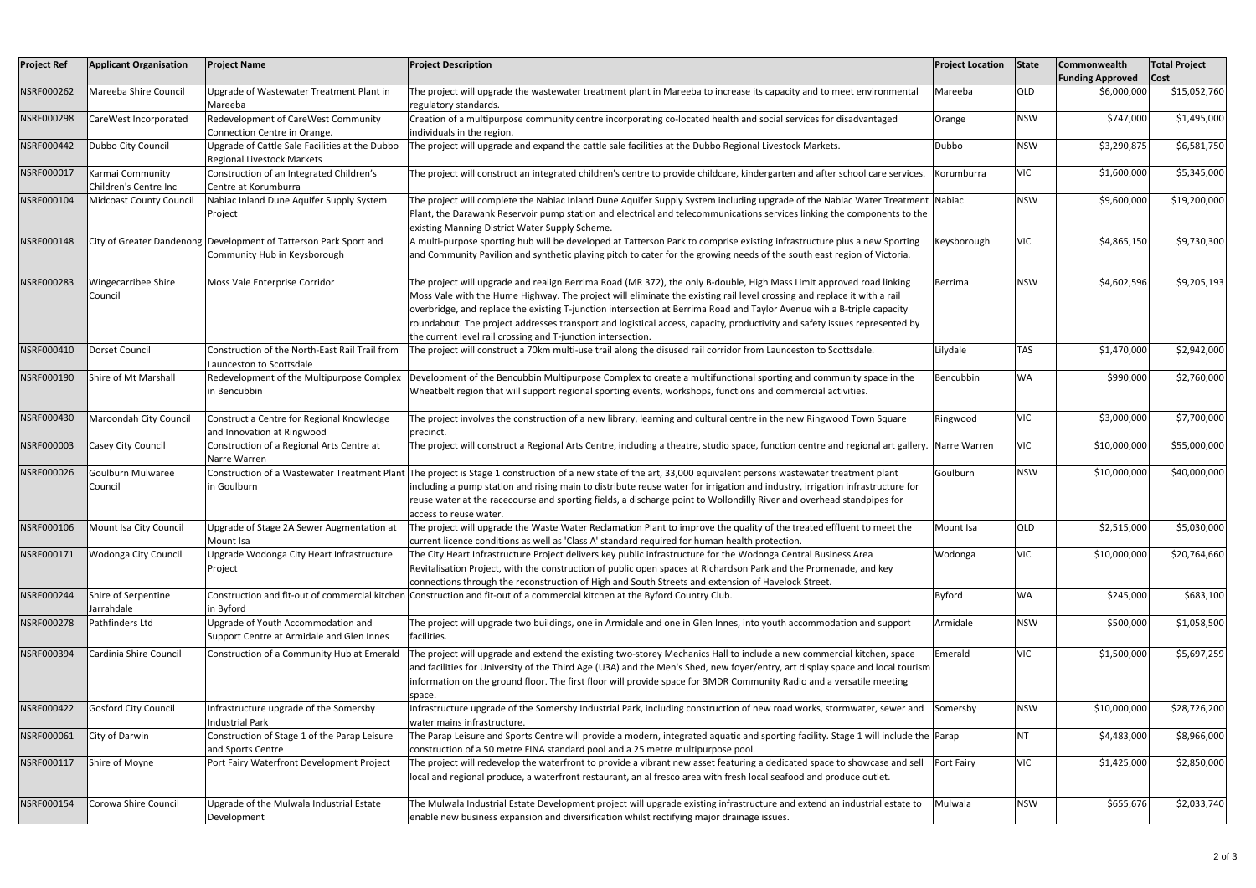| <b>Project Ref</b> | <b>Applicant Organisation</b>             | <b>Project Name</b>                                                                               | <b>Project Description</b>                                                                                                                                                                                                                                                                                                                                                                                                                                                                                                                                              | <b>Project Location</b> | State      | Commonwealth<br><b>Funding Approved</b> | <b>Total Project</b><br> Cost |
|--------------------|-------------------------------------------|---------------------------------------------------------------------------------------------------|-------------------------------------------------------------------------------------------------------------------------------------------------------------------------------------------------------------------------------------------------------------------------------------------------------------------------------------------------------------------------------------------------------------------------------------------------------------------------------------------------------------------------------------------------------------------------|-------------------------|------------|-----------------------------------------|-------------------------------|
| NSRF000262         | Mareeba Shire Council                     | Upgrade of Wastewater Treatment Plant in<br>Mareeba                                               | The project will upgrade the wastewater treatment plant in Mareeba to increase its capacity and to meet environmental<br>regulatory standards.                                                                                                                                                                                                                                                                                                                                                                                                                          | Mareeba                 | <b>QLD</b> | \$6,000,000                             | \$15,052,760                  |
| NSRF000298         | CareWest Incorporated                     | Redevelopment of CareWest Community<br>Connection Centre in Orange.                               | Creation of a multipurpose community centre incorporating co-located health and social services for disadvantaged<br>individuals in the region.                                                                                                                                                                                                                                                                                                                                                                                                                         | Orange                  | <b>NSW</b> | \$747,000                               | \$1,495,000                   |
| NSRF000442         | Dubbo City Council                        | Upgrade of Cattle Sale Facilities at the Dubbo<br><b>Regional Livestock Markets</b>               | The project will upgrade and expand the cattle sale facilities at the Dubbo Regional Livestock Markets.                                                                                                                                                                                                                                                                                                                                                                                                                                                                 | Dubbo                   | <b>NSW</b> | \$3,290,875                             | \$6,581,750                   |
| NSRF000017         | Karmai Community<br>Children's Centre Inc | Construction of an Integrated Children's<br>Centre at Korumburra                                  | The project will construct an integrated children's centre to provide childcare, kindergarten and after school care services.                                                                                                                                                                                                                                                                                                                                                                                                                                           | Korumburra              | VIC        | \$1,600,000                             | \$5,345,000                   |
| NSRF000104         | <b>Midcoast County Council</b>            | Nabiac Inland Dune Aquifer Supply System<br>Project                                               | The project will complete the Nabiac Inland Dune Aquifer Supply System including upgrade of the Nabiac Water Treatment  Nabiac<br>Plant, the Darawank Reservoir pump station and electrical and telecommunications services linking the components to the<br>existing Manning District Water Supply Scheme.                                                                                                                                                                                                                                                             |                         | <b>NSW</b> | \$9,600,000                             | \$19,200,000                  |
| NSRF000148         |                                           | City of Greater Dandenong Development of Tatterson Park Sport and<br>Community Hub in Keysborough | A multi-purpose sporting hub will be developed at Tatterson Park to comprise existing infrastructure plus a new Sporting<br>and Community Pavilion and synthetic playing pitch to cater for the growing needs of the south east region of Victoria.                                                                                                                                                                                                                                                                                                                     | Keysborough             | <b>VIC</b> | \$4,865,150                             | \$9,730,300                   |
| NSRF000283         | Wingecarribee Shire<br>Council            | Moss Vale Enterprise Corridor                                                                     | The project will upgrade and realign Berrima Road (MR 372), the only B-double, High Mass Limit approved road linking<br>Moss Vale with the Hume Highway. The project will eliminate the existing rail level crossing and replace it with a rail<br>overbridge, and replace the existing T-junction intersection at Berrima Road and Taylor Avenue wih a B-triple capacity<br>roundabout. The project addresses transport and logistical access, capacity, productivity and safety issues represented by<br>the current level rail crossing and T-junction intersection. | Berrima                 | <b>NSW</b> | \$4,602,596                             | \$9,205,193                   |
| NSRF000410         | Dorset Council                            | Construction of the North-East Rail Trail from<br>Launceston to Scottsdale                        | The project will construct a 70km multi-use trail along the disused rail corridor from Launceston to Scottsdale.                                                                                                                                                                                                                                                                                                                                                                                                                                                        | Lilydale                | <b>TAS</b> | \$1,470,000                             | \$2,942,000                   |
| NSRF000190         | Shire of Mt Marshall                      | Redevelopment of the Multipurpose Complex<br>in Bencubbin                                         | Development of the Bencubbin Multipurpose Complex to create a multifunctional sporting and community space in the<br>Wheatbelt region that will support regional sporting events, workshops, functions and commercial activities.                                                                                                                                                                                                                                                                                                                                       | Bencubbin               | <b>WA</b>  | \$990,000                               | \$2,760,000                   |
| NSRF000430         | Maroondah City Council                    | Construct a Centre for Regional Knowledge<br>and Innovation at Ringwood                           | The project involves the construction of a new library, learning and cultural centre in the new Ringwood Town Square<br>precinct.                                                                                                                                                                                                                                                                                                                                                                                                                                       | Ringwood                | <b>VIC</b> | \$3,000,000                             | \$7,700,000                   |
| NSRF000003         | Casey City Council                        | Construction of a Regional Arts Centre at<br>Narre Warren                                         | The project will construct a Regional Arts Centre, including a theatre, studio space, function centre and regional art gallery.                                                                                                                                                                                                                                                                                                                                                                                                                                         | Narre Warren            | <b>VIC</b> | \$10,000,000                            | \$55,000,000                  |
| NSRF000026         | Goulburn Mulwaree<br>Council              | in Goulburn                                                                                       | Construction of a Wastewater Treatment Plant The project is Stage 1 construction of a new state of the art, 33,000 equivalent persons wastewater treatment plant<br>including a pump station and rising main to distribute reuse water for irrigation and industry, irrigation infrastructure for<br>reuse water at the racecourse and sporting fields, a discharge point to Wollondilly River and overhead standpipes for<br>access to reuse water.                                                                                                                    | Goulburn                | <b>NSW</b> | \$10,000,000                            | \$40,000,000                  |
|                    | NSRF000106   Mount Isa City Council       | Upgrade of Stage 2A Sewer Augmentation at<br>Mount Isa                                            | The project will upgrade the Waste Water Reclamation Plant to improve the quality of the treated effluent to meet the<br>current licence conditions as well as 'Class A' standard required for human health protection.                                                                                                                                                                                                                                                                                                                                                 | Mount Isa               | <b>QLD</b> | \$2,515,000                             | \$5,030,000                   |
| NSRF000171         | <b>Wodonga City Council</b>               | Upgrade Wodonga City Heart Infrastructure<br>Project                                              | The City Heart Infrastructure Project delivers key public infrastructure for the Wodonga Central Business Area<br>Revitalisation Project, with the construction of public open spaces at Richardson Park and the Promenade, and key<br>connections through the reconstruction of High and South Streets and extension of Havelock Street.                                                                                                                                                                                                                               | Wodonga                 | <b>VIC</b> | \$10,000,000                            | \$20,764,660                  |
| NSRF000244         | Shire of Serpentine<br>Jarrahdale         | in Byford                                                                                         | Construction and fit-out of commercial kitchen Construction and fit-out of a commercial kitchen at the Byford Country Club.                                                                                                                                                                                                                                                                                                                                                                                                                                             | Byford                  | <b>WA</b>  | \$245,000                               | \$683,100                     |
| NSRF000278         | Pathfinders Ltd                           | Upgrade of Youth Accommodation and<br>Support Centre at Armidale and Glen Innes                   | The project will upgrade two buildings, one in Armidale and one in Glen Innes, into youth accommodation and support<br>facilities.                                                                                                                                                                                                                                                                                                                                                                                                                                      | Armidale                | <b>NSW</b> | \$500,000                               | \$1,058,500                   |
| NSRF000394         | Cardinia Shire Council                    | Construction of a Community Hub at Emerald                                                        | The project will upgrade and extend the existing two-storey Mechanics Hall to include a new commercial kitchen, space<br>and facilities for University of the Third Age (U3A) and the Men's Shed, new foyer/entry, art display space and local tourism<br>nformation on the ground floor. The first floor will provide space for 3MDR Community Radio and a versatile meeting<br>space.                                                                                                                                                                                 | Emerald                 | VIC        | \$1,500,000                             | \$5,697,259                   |
| NSRF000422         | <b>Gosford City Council</b>               | Infrastructure upgrade of the Somersby<br><b>Industrial Park</b>                                  | Infrastructure upgrade of the Somersby Industrial Park, including construction of new road works, stormwater, sewer and<br>water mains infrastructure.                                                                                                                                                                                                                                                                                                                                                                                                                  | Somersby                | <b>NSW</b> | \$10,000,000                            | \$28,726,200                  |
| NSRF000061         | City of Darwin                            | Construction of Stage 1 of the Parap Leisure<br>and Sports Centre                                 | The Parap Leisure and Sports Centre will provide a modern, integrated aquatic and sporting facility. Stage 1 will include the Parap<br>construction of a 50 metre FINA standard pool and a 25 metre multipurpose pool.                                                                                                                                                                                                                                                                                                                                                  |                         | <b>NT</b>  | \$4,483,000                             | \$8,966,000                   |
| NSRF000117         | Shire of Moyne                            | Port Fairy Waterfront Development Project                                                         | The project will redevelop the waterfront to provide a vibrant new asset featuring a dedicated space to showcase and sell<br>local and regional produce, a waterfront restaurant, an al fresco area with fresh local seafood and produce outlet.                                                                                                                                                                                                                                                                                                                        | Port Fairy              | <b>VIC</b> | \$1,425,000                             | \$2,850,000                   |
| NSRF000154         | Corowa Shire Council                      | Upgrade of the Mulwala Industrial Estate<br>Development                                           | The Mulwala Industrial Estate Development project will upgrade existing infrastructure and extend an industrial estate to<br>enable new business expansion and diversification whilst rectifying major drainage issues.                                                                                                                                                                                                                                                                                                                                                 | Mulwala                 | <b>NSW</b> | \$655,676                               | \$2,033,740                   |